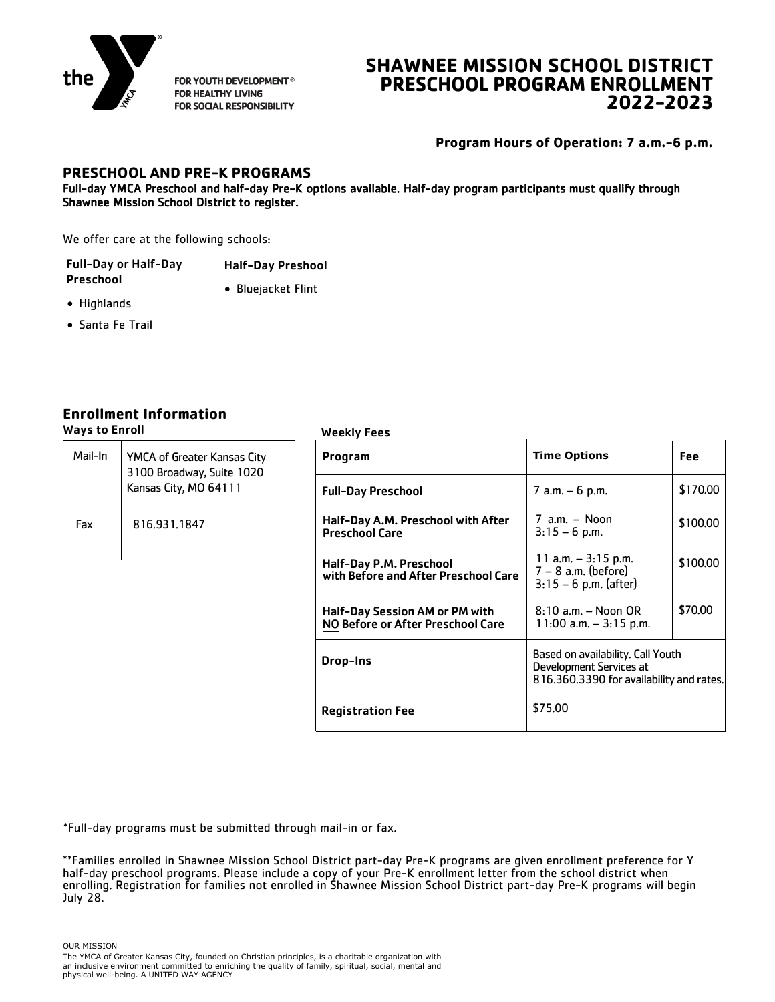

FOR YOUTH DEVELOPMENT® **FOR HEALTHY LIVING** FOR SOCIAL RESPONSIBILITY

# **SHAWNEE MISSION SCHOOL DISTRICT PRESCHOOL PROGRAM ENROLLMENT 2022-2023**

**Program Hours of Operation: 7 a.m.-6 p.m.**

### **PRESCHOOL AND PRE-K PROGRAMS**

Full-day YMCA Preschool and half-day Pre-K options available. Half-day program participants must qualify through Shawnee Mission School District to register.

We offer care at the following schools:

| <b>Full-Day or Half-Day</b> | <b>Half-Day Preshool</b> |
|-----------------------------|--------------------------|
| Preschool                   | • Bluejacket Flint       |

- Highlands
- Santa Fe Trail

### **Enrollment Information**

Ways to Enroll Weekly Fees

| Mail-In | YMCA of Greater Kansas City<br>3100 Broadway, Suite 1020 | Program              |
|---------|----------------------------------------------------------|----------------------|
|         | Kansas City, MO 64111                                    | <b>Full-Day</b>      |
| Fax     | 816.931.1847                                             | Half-Day<br>Preschoc |
|         |                                                          | Half-Day             |

|                                                          | <b>WEENLY LEES</b>                                                  |                                                                                                          |            |
|----------------------------------------------------------|---------------------------------------------------------------------|----------------------------------------------------------------------------------------------------------|------------|
| YMCA of Greater Kansas City<br>3100 Broadway, Suite 1020 | Program                                                             | <b>Time Options</b>                                                                                      | <b>Fee</b> |
| Kansas City, MO 64111                                    | <b>Full-Day Preschool</b>                                           | $7$ a.m. $-6$ p.m.                                                                                       | \$170.00   |
| 816.931.1847                                             | Half-Day A.M. Preschool with After<br><b>Preschool Care</b>         | $7$ a.m. $-$ Noon<br>$3:15 - 6$ p.m.                                                                     | \$100.00   |
|                                                          | Half-Day P.M. Preschool<br>with Before and After Preschool Care     | 11 a.m. $-$ 3:15 p.m.<br>$7 - 8$ a.m. (before)<br>$3:15 - 6$ p.m. (after)                                | \$100.00   |
|                                                          | Half-Day Session AM or PM with<br>NO Before or After Preschool Care | $8:10$ a.m. $-$ Noon OR<br>$11:00$ a.m. $-3:15$ p.m.                                                     | \$70.00    |
|                                                          | Drop-Ins                                                            | Based on availability. Call Youth<br>Development Services at<br>816.360.3390 for availability and rates. |            |
|                                                          | <b>Registration Fee</b>                                             | \$75.00                                                                                                  |            |

\*Full-day programs must be submitted through mail-in or fax.

\*\*Families enrolled in Shawnee Mission School District part-day Pre-K programs are given enrollment preference for Y half-day preschool programs. Please include a copy of your Pre-K enrollment letter from the school district when enrolling. Registration for families not enrolled in Shawnee Mission School District part-day Pre-K programs will begin July 28.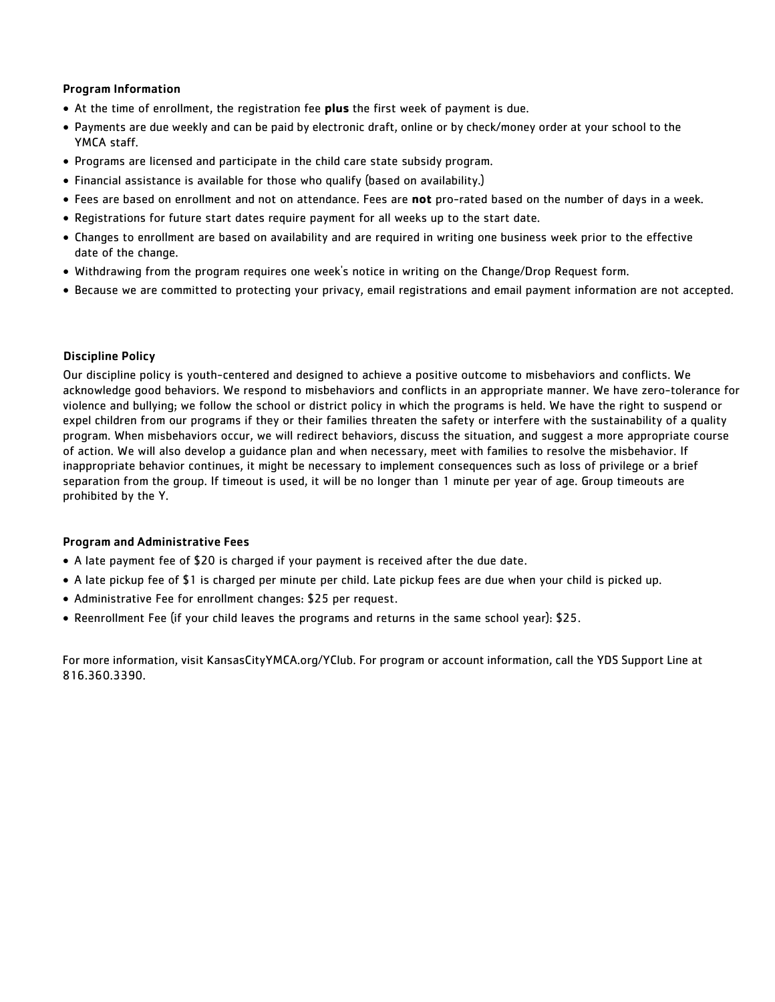#### Program Information

- At the time of enrollment, the registration fee **plus** the first week of payment is due.
- Payments are due weekly and can be paid by electronic draft, online or by check/money order at your school to the YMCA staff.
- Programs are licensed and participate in the child care state subsidy program.
- Financial assistance is available for those who qualify (based on availability.)
- Fees are based on enrollment and not on attendance. Fees are **not** pro-rated based on the number of days in a week.
- Registrations for future start dates require payment for all weeks up to the start date.
- Changes to enrollment are based on availability and are required in writing one business week prior to the effective date of the change.
- Withdrawing from the program requires one week's notice in writing on the Change/Drop Request form.
- Because we are committed to protecting your privacy, email registrations and email payment information are not accepted.

#### Discipline Policy

Our discipline policy is youth-centered and designed to achieve a positive outcome to misbehaviors and conflicts. We acknowledge good behaviors. We respond to misbehaviors and conflicts in an appropriate manner. We have zero-tolerance for violence and bullying; we follow the school or district policy in which the programs is held. We have the right to suspend or expel children from our programs if they or their families threaten the safety or interfere with the sustainability of a quality program. When misbehaviors occur, we will redirect behaviors, discuss the situation, and suggest a more appropriate course of action. We will also develop a guidance plan and when necessary, meet with families to resolve the misbehavior. If inappropriate behavior continues, it might be necessary to implement consequences such as loss of privilege or a brief separation from the group. If timeout is used, it will be no longer than 1 minute per year of age. Group timeouts are prohibited by the Y.

#### Program and Administrative Fees

- A late payment fee of \$20 is charged if your payment is received after the due date.
- A late pickup fee of \$1 is charged per minute per child. Late pickup fees are due when your child is picked up.
- Administrative Fee for enrollment changes: \$25 per request.
- Reenrollment Fee (if your child leaves the programs and returns in the same school year): \$25.

For more information, visit KansasCityYMCA.org/YClub. For program or account information, call the YDS Support Line at 816.360.3390.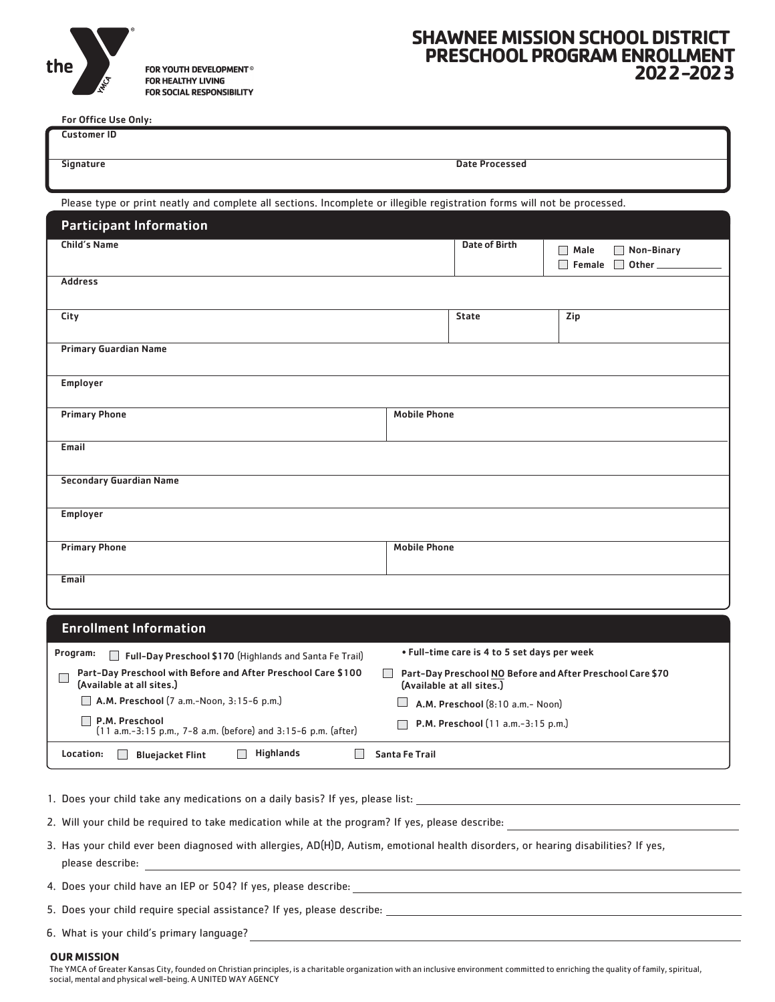

FOR YOUTH DEVELOPMENT<sup>®</sup> FOR HEALTHY LIVING FOR SOCIAL RESPONSIBILITY

## **SHAWNEE MISSION SCHOOL DISTRICT PRESCHOOL PROGRAM ENROLLMENT 2022-2023**

For Office Use Only:

| For Office Use Only:                                                                                                     |                     |                       |                                  |
|--------------------------------------------------------------------------------------------------------------------------|---------------------|-----------------------|----------------------------------|
| <b>Customer ID</b>                                                                                                       |                     |                       |                                  |
|                                                                                                                          |                     |                       |                                  |
| <b>Signature</b>                                                                                                         |                     | <b>Date Processed</b> |                                  |
|                                                                                                                          |                     |                       |                                  |
|                                                                                                                          |                     |                       |                                  |
| Please type or print neatly and complete all sections. Incomplete or illegible registration forms will not be processed. |                     |                       |                                  |
|                                                                                                                          |                     |                       |                                  |
| <b>Participant Information</b>                                                                                           |                     |                       |                                  |
| Child's Name                                                                                                             |                     | <b>Date of Birth</b>  | Non-Binary<br>Male<br>$\Box$     |
|                                                                                                                          |                     |                       | $\Box$                           |
|                                                                                                                          |                     |                       | Other_<br>Female<br>$\mathbf{I}$ |
| <b>Address</b>                                                                                                           |                     |                       |                                  |
|                                                                                                                          |                     |                       |                                  |
|                                                                                                                          |                     |                       |                                  |
| City                                                                                                                     |                     | <b>State</b>          | Zip                              |
|                                                                                                                          |                     |                       |                                  |
| <b>Primary Guardian Name</b>                                                                                             |                     |                       |                                  |
|                                                                                                                          |                     |                       |                                  |
|                                                                                                                          |                     |                       |                                  |
| Employer                                                                                                                 |                     |                       |                                  |
|                                                                                                                          |                     |                       |                                  |
| <b>Primary Phone</b>                                                                                                     | <b>Mobile Phone</b> |                       |                                  |
|                                                                                                                          |                     |                       |                                  |
| Email                                                                                                                    |                     |                       |                                  |
|                                                                                                                          |                     |                       |                                  |
|                                                                                                                          |                     |                       |                                  |
| <b>Secondary Guardian Name</b>                                                                                           |                     |                       |                                  |
|                                                                                                                          |                     |                       |                                  |
|                                                                                                                          |                     |                       |                                  |
| Employer                                                                                                                 |                     |                       |                                  |
|                                                                                                                          |                     |                       |                                  |
| <b>Primary Phone</b>                                                                                                     | <b>Mobile Phone</b> |                       |                                  |
|                                                                                                                          |                     |                       |                                  |
|                                                                                                                          |                     |                       |                                  |
| Email                                                                                                                    |                     |                       |                                  |
|                                                                                                                          |                     |                       |                                  |
|                                                                                                                          |                     |                       |                                  |
| <b>Enrollment Information</b>                                                                                            |                     |                       |                                  |
|                                                                                                                          |                     |                       |                                  |

| Program:<br>Full-Day Preschool \$170 (Highlands and Santa Fe Trail)                        | • Full-time care is 4 to 5 set days per week                                            |
|--------------------------------------------------------------------------------------------|-----------------------------------------------------------------------------------------|
| Part-Day Preschool with Before and After Preschool Care \$100<br>(Available at all sites.) | Part-Day Preschool NO Before and After Preschool Care \$70<br>(Available at all sites.) |
| <b>A.M. Preschool</b> $(7 a.m.-Noon, 3:15-6 p.m.)$                                         | A.M. Preschool (8:10 a.m.- Noon)                                                        |
| P.M. Preschool<br>$(11 a.m.-3:15 p.m., 7-8 a.m.$ (before) and 3:15-6 p.m. (after)          | P.M. Preschool $(11 a.m.-3:15 p.m.)$                                                    |
| <b>Highlands</b><br>Location:<br><b>Blueiacket Flint</b>                                   | Santa Fe Trail                                                                          |

1. Does your child take any medications on a daily basis? If yes, please list:

2. Will your child be required to take medication while at the program? If yes, please describe:

3. Has your child ever been diagnosed with allergies, AD(H)D, Autism, emotional health disorders, or hearing disabilities? If yes, please describe:

4. Does your child have an IEP or 504? If yes, please describe:

5. Does your child require special assistance? If yes, please describe:

6. What is your child's primary language?

#### **OUR MISSION**

The YMCA of Greater Kansas City, founded on Christian principles, is a charitable organization with an inclusive environment committed to enriching the quality of family, spiritual, social, mental and physical well-being. A UNITED WAY AGENCY

<u> 1980 - Johann Barn, mars ann an t-Amhain Aonaich an t-Aonaich an t-Aonaich ann an t-Aonaich ann an t-Aonaich</u>